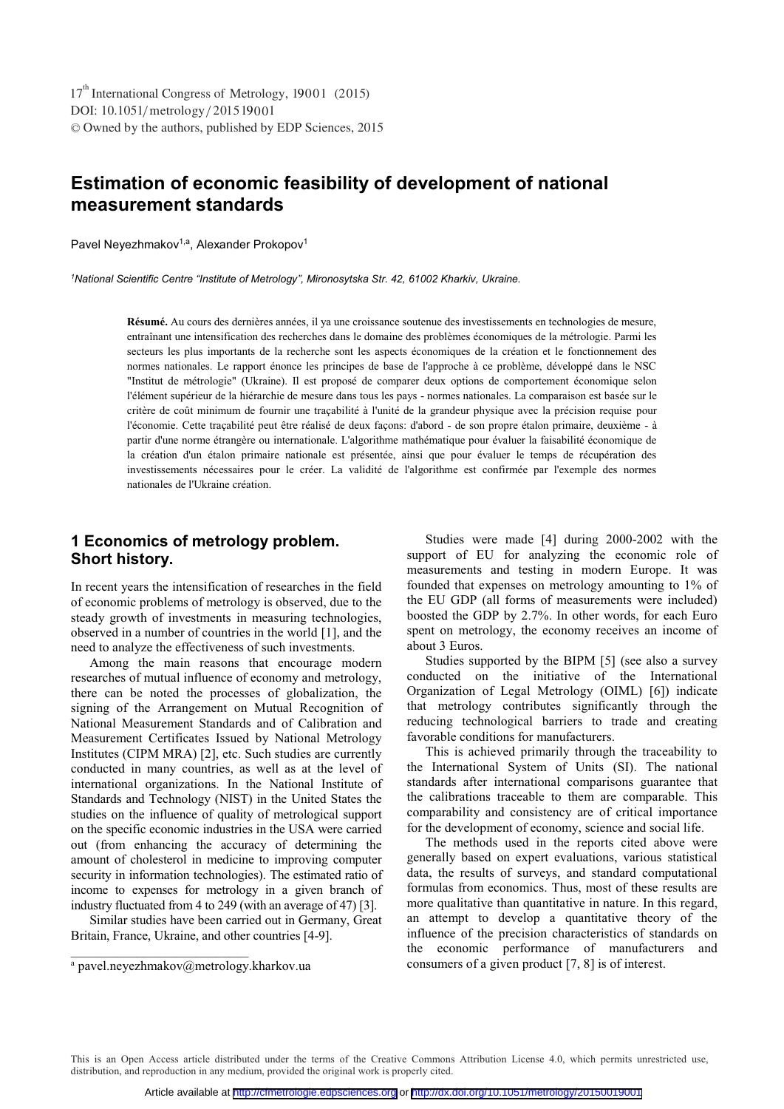DOI: 10.1051/metrology/201519001 -<sup>C</sup> Owned by the authors, published by EDP Sciences, 2015 17<sup>th</sup> International Congress of Metrology, 19001 (2015)

# **Estimation of economic feasibility of development of national measurement standards**

Pavel Neyezhmakov<sup>1,a</sup>, Alexander Prokopov<sup>1</sup>

*1 National Scientific Centre "Institute of Metrology", Mironosytska Str. 42, 61002 Kharkiv, Ukraine.* 

**Résumé.** Au cours des dernières années, il ya une croissance soutenue des investissements en technologies de mesure, entraînant une intensification des recherches dans le domaine des problèmes économiques de la métrologie. Parmi les secteurs les plus importants de la recherche sont les aspects économiques de la création et le fonctionnement des normes nationales. Le rapport énonce les principes de base de l'approche à ce problème, développé dans le NSC "Institut de métrologie" (Ukraine). Il est proposé de comparer deux options de comportement économique selon l'élément supérieur de la hiérarchie de mesure dans tous les pays - normes nationales. La comparaison est basée sur le critère de coût minimum de fournir une traçabilité à l'unité de la grandeur physique avec la précision requise pour l'économie. Cette traçabilité peut être réalisé de deux façons: d'abord - de son propre étalon primaire, deuxième - à partir d'une norme étrangère ou internationale. L'algorithme mathématique pour évaluer la faisabilité économique de la création d'un étalon primaire nationale est présentée, ainsi que pour évaluer le temps de récupération des investissements nécessaires pour le créer. La validité de l'algorithme est confirmée par l'exemple des normes nationales de l'Ukraine création.

# **1 Economics of metrology problem. Short history.**

In recent years the intensification of researches in the field of economic problems of metrology is observed, due to the steady growth of investments in measuring technologies, observed in a number of countries in the world [1], and the need to analyze the effectiveness of such investments.

Among the main reasons that encourage modern researches of mutual influence of economy and metrology, there can be noted the processes of globalization, the signing of the Arrangement on Mutual Recognition of National Measurement Standards and of Calibration and Measurement Certificates Issued by National Metrology Institutes (CIPM MRA) [2], etc. Such studies are currently conducted in many countries, as well as at the level of international organizations. In the National Institute of Standards and Technology (NIST) in the United States the studies on the influence of quality of metrological support on the specific economic industries in the USA were carried out (from enhancing the accuracy of determining the amount of cholesterol in medicine to improving computer security in information technologies). The estimated ratio of income to expenses for metrology in a given branch of industry fluctuated from 4 to 249 (with an average of 47) [3].

Similar studies have been carried out in Germany, Great Britain, France, Ukraine, and other countries [4-9].

\_\_\_\_\_\_\_\_\_\_\_\_\_\_\_\_\_\_\_\_\_\_\_\_\_\_\_

Studies were made [4] during 2000-2002 with the support of EU for analyzing the economic role of measurements and testing in modern Europe. It was founded that expenses on metrology amounting to 1% of the EU GDP (all forms of measurements were included) boosted the GDP by 2.7%. In other words, for each Euro spent on metrology, the economy receives an income of about 3 Euros.

Studies supported by the BIPM [5] (see also a survey conducted on the initiative of the International Organization of Legal Metrology (OIML) [6]) indicate that metrology contributes significantly through the reducing technological barriers to trade and creating favorable conditions for manufacturers.

This is achieved primarily through the traceability to the International System of Units (SI). The national standards after international comparisons guarantee that the calibrations traceable to them are comparable. This comparability and consistency are of critical importance for the development of economy, science and social life.

The methods used in the reports cited above were generally based on expert evaluations, various statistical data, the results of surveys, and standard computational formulas from economics. Thus, most of these results are more qualitative than quantitative in nature. In this regard, an attempt to develop a quantitative theory of the influence of the precision characteristics of standards on the economic performance of manufacturers and consumers of a given product [7, 8] is of interest.

This is an Open Access article distributed under the terms of the Creative Commons Attribution License 4.0, which permits unrestricted use, distribution, and reproduction in any medium, provided the original work is properly cited.

a pavel.neyezhmakov@metrology.kharkov.ua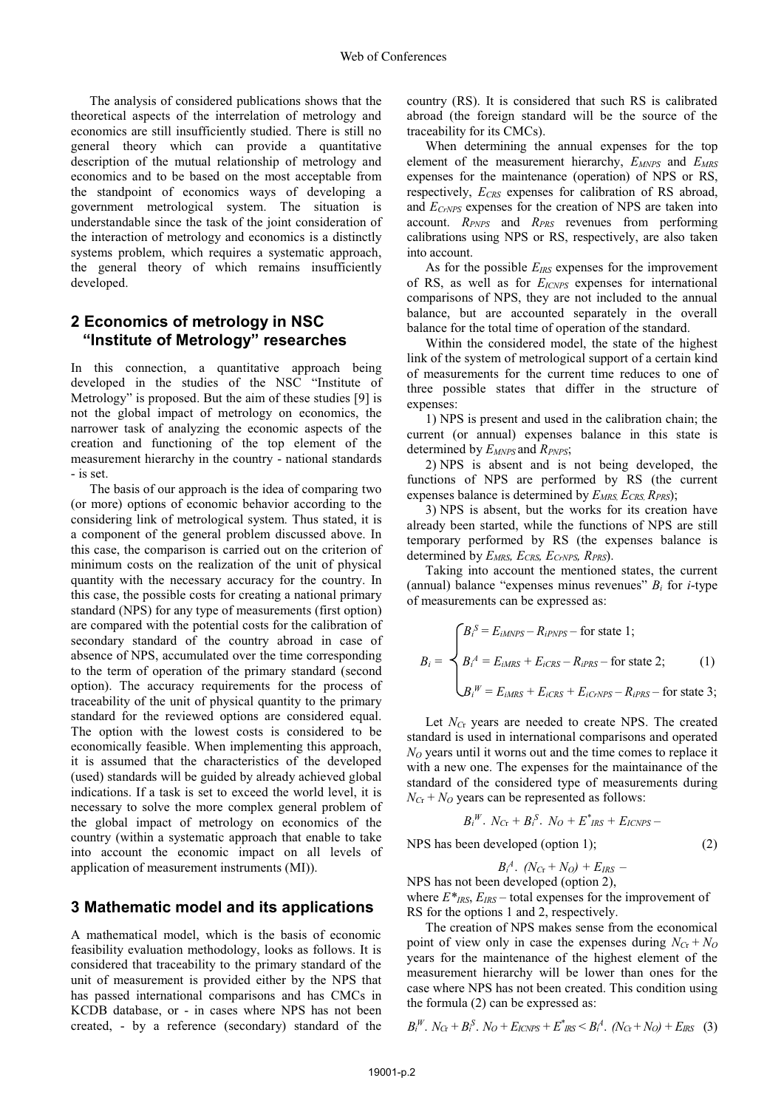The analysis of considered publications shows that the theoretical aspects of the interrelation of metrology and economics are still insufficiently studied. There is still no general theory which can provide a quantitative description of the mutual relationship of metrology and economics and to be based on the most acceptable from the standpoint of economics ways of developing a government metrological system. The situation is understandable since the task of the joint consideration of the interaction of metrology and economics is a distinctly systems problem, which requires a systematic approach, the general theory of which remains insufficiently developed.

### **2 Economics of metrology in NSC "Institute of Metrology" researches**

In this connection, a quantitative approach being developed in the studies of the NSC "Institute of Metrology" is proposed. But the aim of these studies [9] is not the global impact of metrology on economics, the narrower task of analyzing the economic aspects of the creation and functioning of the top element of the measurement hierarchy in the country - national standards - is set.

The basis of our approach is the idea of comparing two (or more) options of economic behavior according to the considering link of metrological system. Thus stated, it is a component of the general problem discussed above. In this case, the comparison is carried out on the criterion of minimum costs on the realization of the unit of physical quantity with the necessary accuracy for the country. In this case, the possible costs for creating a national primary standard (NPS) for any type of measurements (first option) are compared with the potential costs for the calibration of secondary standard of the country abroad in case of absence of NPS, accumulated over the time corresponding to the term of operation of the primary standard (second option). The accuracy requirements for the process of traceability of the unit of physical quantity to the primary standard for the reviewed options are considered equal. The option with the lowest costs is considered to be economically feasible. When implementing this approach, it is assumed that the characteristics of the developed (used) standards will be guided by already achieved global indications. If a task is set to exceed the world level, it is necessary to solve the more complex general problem of the global impact of metrology on economics of the country (within a systematic approach that enable to take into account the economic impact on all levels of application of measurement instruments (MI)).

#### **3 Mathematic model and its applications**

A mathematical model, which is the basis of economic feasibility evaluation methodology, looks as follows. It is considered that traceability to the primary standard of the unit of measurement is provided either by the NPS that has passed international comparisons and has CMCs in KCDB database, or - in cases where NPS has not been created, - by a reference (secondary) standard of the

country (RS). It is considered that such RS is calibrated abroad (the foreign standard will be the source of the traceability for its CMCs).

When determining the annual expenses for the top element of the measurement hierarchy, *EMNPS* and *EMRS* expenses for the maintenance (operation) of NPS or RS, respectively,  $E_{CRS}$  expenses for calibration of RS abroad, and *ECrNPS* expenses for the creation of NPS are taken into account. *RPNPS* and *RPRS* revenues from performing calibrations using NPS or RS, respectively, are also taken into account.

As for the possible *EIRS* expenses for the improvement of RS, as well as for *EICNPS* expenses for international comparisons of NPS, they are not included to the annual balance, but are accounted separately in the overall balance for the total time of operation of the standard.

Within the considered model, the state of the highest link of the system of metrological support of a certain kind of measurements for the current time reduces to one of three possible states that differ in the structure of expenses:

1) NPS is present and used in the calibration chain; the current (or annual) expenses balance in this state is determined by *EMNPS* and *RPNPS*;

2) NPS is absent and is not being developed, the functions of NPS are performed by RS (the current expenses balance is determined by *EMRS, ECRS, RPRS*);

3) NPS is absent, but the works for its creation have already been started, while the functions of NPS are still temporary performed by RS (the expenses balance is determined by *EMRS, ECRS, ECrNPS, RPRS*).

Taking into account the mentioned states, the current (annual) balance "expenses minus revenues" *Bi* for *i*-type of measurements can be expressed as:

$$
B_i = \begin{cases} B_i^S = E_{iMNPS} - R_{iPNPS} - \text{ for state 1;} \\ B_i^A = E_{iMRS} + E_{iCRS} - R_{iPRS} - \text{ for state 2;} \\ B_i^W = E_{iMRS} + E_{iCRS} + E_{iCrNPS} - R_{iPRS} - \text{ for state 3;} \end{cases}
$$

Let *NC*<sup>r</sup> years are needed to create NPS. The created standard is used in international comparisons and operated *NO* years until it worns out and the time comes to replace it with a new one. The expenses for the maintainance of the standard of the considered type of measurements during  $N_{Cr} + N_O$  years can be represented as follows:

$$
B_i^W. N_{Cr} + B_i^S. N_O + E_{IRS}^* + E_{ICNPS} -
$$
  
NPS has been developed (option 1); (2)

$$
B_i^A. (N_{Cr}+N_O)+E_{IRS}-
$$

NPS has not been developed (option 2),

where  $E^*_{IRS}$ ,  $E_{IRS}$  – total expenses for the improvement of RS for the options 1 and 2, respectively.

The creation of NPS makes sense from the economical point of view only in case the expenses during  $N_{Cr} + N_O$ years for the maintenance of the highest element of the measurement hierarchy will be lower than ones for the case where NPS has not been created. This condition using the formula (2) can be expressed as:

$$
B_i^W. N_{Cr} + B_i^S. N_O + E_{ICNPS} + E_{IRS}^* < B_i^A. (N_{Cr} + N_O) + E_{IRS}
$$
 (3)